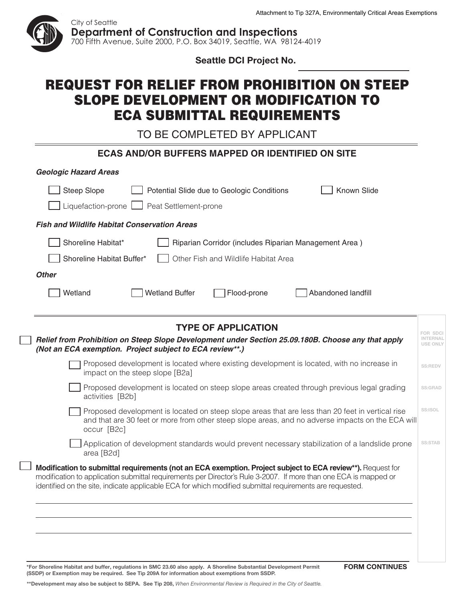

**Seattle DCI Project No.** 

## REQUEST FOR RELIEF FROM PROHIBITION ON STEEP SLOPE DEVELOPMENT OR MODIFICATION TO ECA SUBMITTAL REQUIREMENTS

TO BE COMPLETED BY APPLICANT

| <b>ECAS AND/OR BUFFERS MAPPED OR IDENTIFIED ON SITE</b>                                                                                                                                                                                                                                                                                     |                 |
|---------------------------------------------------------------------------------------------------------------------------------------------------------------------------------------------------------------------------------------------------------------------------------------------------------------------------------------------|-----------------|
| <b>Geologic Hazard Areas</b>                                                                                                                                                                                                                                                                                                                |                 |
| Known Slide<br><b>Steep Slope</b><br>Potential Slide due to Geologic Conditions                                                                                                                                                                                                                                                             |                 |
| Peat Settlement-prone<br>Liquefaction-prone                                                                                                                                                                                                                                                                                                 |                 |
| <b>Fish and Wildlife Habitat Conservation Areas</b>                                                                                                                                                                                                                                                                                         |                 |
| Shoreline Habitat*<br>Riparian Corridor (includes Riparian Management Area)<br>Shoreline Habitat Buffer*<br>Other Fish and Wildlife Habitat Area<br><b>Other</b>                                                                                                                                                                            |                 |
| <b>Wetland Buffer</b><br>Wetland<br>Flood-prone<br>Abandoned landfill                                                                                                                                                                                                                                                                       |                 |
| <b>TYPE OF APPLICATION</b><br>Relief from Prohibition on Steep Slope Development under Section 25.09.180B. Choose any that apply<br>(Not an ECA exemption. Project subject to ECA review**.)                                                                                                                                                | <b>USE ONLY</b> |
| Proposed development is located where existing development is located, with no increase in<br>impact on the steep slope [B2a]                                                                                                                                                                                                               | SS:REDV         |
| Proposed development is located on steep slope areas created through previous legal grading<br>activities [B2b]                                                                                                                                                                                                                             | <b>SS:GRAD</b>  |
| Proposed development is located on steep slope areas that are less than 20 feet in vertical rise<br>and that are 30 feet or more from other steep slope areas, and no adverse impacts on the ECA will<br>occur [B2c]                                                                                                                        | SS:ISOL         |
| Application of development standards would prevent necessary stabilization of a landslide prone<br>area [B2d]                                                                                                                                                                                                                               | <b>SS:STAB</b>  |
| Modification to submittal requirements (not an ECA exemption. Project subject to ECA review**). Request for<br>modification to application submittal requirements per Director's Rule 3-2007. If more than one ECA is mapped or<br>identified on the site, indicate applicable ECA for which modified submittal requirements are requested. |                 |
|                                                                                                                                                                                                                                                                                                                                             |                 |
|                                                                                                                                                                                                                                                                                                                                             |                 |

**\*For Shoreline Habitat and buffer, regulations in SmC 23.60 also apply. A Shoreline Substantial Development permit (SSDp) or Exemption may be required. See Tip 209A for information about exemptions from SSDp.**

**FORM CONTINUES** 

**\*\*Development may also be subject to SEpA. See Tip 208,** *When Environmental Review is Required in the City of Seattle.*